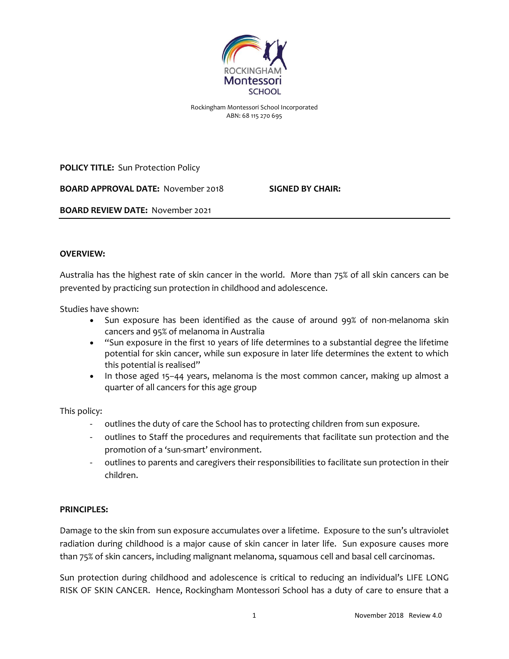

Rockingham Montessori School Incorporated ABN: 68 115 270 695

**POLICY TITLE:** Sun Protection Policy

**BOARD APPROVAL DATE:** November 2018 **SIGNED BY CHAIR:**

**BOARD REVIEW DATE:** November 2021

### **OVERVIEW:**

Australia has the highest rate of skin cancer in the world. More than 75% of all skin cancers can be prevented by practicing sun protection in childhood and adolescence.

Studies have shown:

- Sun exposure has been identified as the cause of around 99% of non-melanoma skin cancers and 95% of melanoma in Australia
- "Sun exposure in the first 10 years of life determines to a substantial degree the lifetime potential for skin cancer, while sun exposure in later life determines the extent to which this potential is realised"
- In those aged 15–44 years, melanoma is the most common cancer, making up almost a quarter of all cancers for this age group

This policy:

- outlines the duty of care the School has to protecting children from sun exposure.
- outlines to Staff the procedures and requirements that facilitate sun protection and the promotion of a 'sun-smart' environment.
- outlines to parents and caregivers their responsibilities to facilitate sun protection in their children.

### **PRINCIPLES:**

Damage to the skin from sun exposure accumulates over a lifetime. Exposure to the sun's ultraviolet radiation during childhood is a major cause of skin cancer in later life. Sun exposure causes more than 75% of skin cancers, including malignant melanoma, squamous cell and basal cell carcinomas.

Sun protection during childhood and adolescence is critical to reducing an individual's LIFE LONG RISK OF SKIN CANCER. Hence, Rockingham Montessori School has a duty of care to ensure that a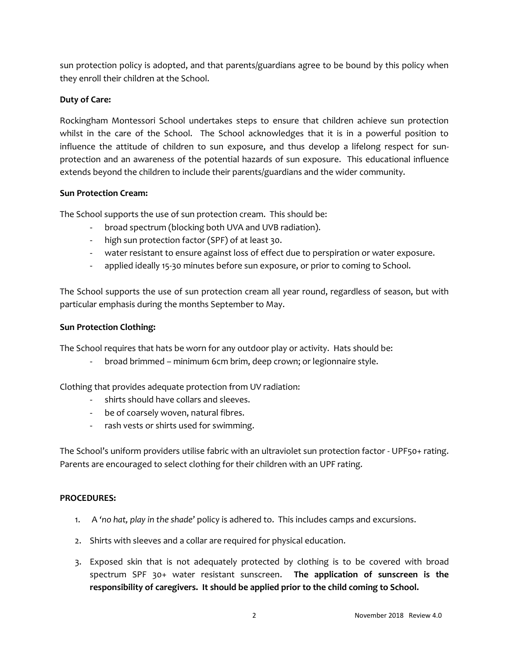sun protection policy is adopted, and that parents/guardians agree to be bound by this policy when they enroll their children at the School.

# **Duty of Care:**

Rockingham Montessori School undertakes steps to ensure that children achieve sun protection whilst in the care of the School. The School acknowledges that it is in a powerful position to influence the attitude of children to sun exposure, and thus develop a lifelong respect for sunprotection and an awareness of the potential hazards of sun exposure. This educational influence extends beyond the children to include their parents/guardians and the wider community.

## **Sun Protection Cream:**

The School supports the use of sun protection cream. This should be:

- broad spectrum (blocking both UVA and UVB radiation).
- high sun protection factor (SPF) of at least 30.
- water resistant to ensure against loss of effect due to perspiration or water exposure.
- applied ideally 15-30 minutes before sun exposure, or prior to coming to School.

The School supports the use of sun protection cream all year round, regardless of season, but with particular emphasis during the months September to May.

## **Sun Protection Clothing:**

The School requires that hats be worn for any outdoor play or activity. Hats should be:

- broad brimmed – minimum 6cm brim, deep crown; or legionnaire style.

Clothing that provides adequate protection from UV radiation:

- shirts should have collars and sleeves.
- be of coarsely woven, natural fibres.
- rash vests or shirts used for swimming.

The School's uniform providers utilise fabric with an ultraviolet sun protection factor - UPF50+ rating. Parents are encouraged to select clothing for their children with an UPF rating.

### **PROCEDURES:**

- 1. A *'no hat, play in the shade*' policy is adhered to. This includes camps and excursions.
- 2. Shirts with sleeves and a collar are required for physical education.
- 3. Exposed skin that is not adequately protected by clothing is to be covered with broad spectrum SPF 30+ water resistant sunscreen. **The application of sunscreen is the responsibility of caregivers. It should be applied prior to the child coming to School.**